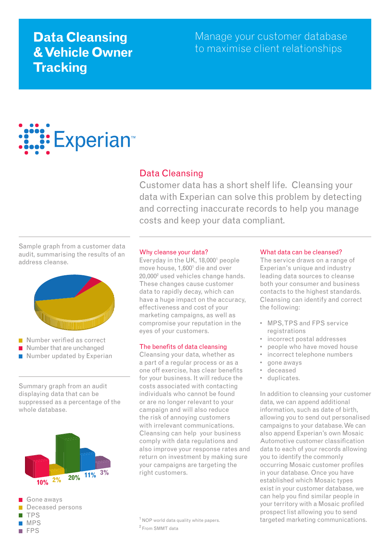# **Data Cleansing & Vehicle Owner Tracking**

Manage your customer database to maximise client relationships

# **Experian**™

# Data Cleansing

Customer data has a short shelf life. Cleansing your data with Experian can solve this problem by detecting and correcting inaccurate records to help you manage costs and keep your data compliant.

Sample graph from a customer data audit, summarising the results of an address cleanse.



- Number verified as correct
- Number that are unchanged
- Number updated by Experian

Summary graph from an audit displaying data that can be suppressed as a percentage of the whole database.



Gone aways Deceased persons TPS MPS FPS

#### Why cleanse your data?

Everyday in the UK, 18,000<sup>1</sup> people move house, 1,6001 die and over 20,0002 used vehicles change hands. These changes cause customer data to rapidly decay, which can have a huge impact on the accuracy, effectiveness and cost of your marketing campaigns, as well as compromise your reputation in the eyes of your customers.

### The benefits of data cleansing

Cleansing your data, whether as a part of a regular process or as a one off exercise, has clear benefits for your business. It will reduce the costs associated with contacting individuals who cannot be found or are no longer relevant to your campaign and will also reduce the risk of annoying customers with irrelevant communications. Cleansing can help your business comply with data regulations and also improve your response rates and return on investment by making sure your campaigns are targeting the right customers.

<sup>1</sup> NOP world data quality white papers. 2 From SMMT data

#### What data can be cleansed?

The service draws on a range of Experian's unique and industry leading data sources to cleanse both your consumer and business contacts to the highest standards. Cleansing can identify and correct the following:

- MPS, TPS and FPS service registrations
- incorrect postal addresses •
- people who have moved house
- incorrect telephone numbers
- gone aways •
- deceased •
- duplicates.

In addition to cleansing your customer data, we can append additional information, such as date of birth, allowing you to send out personalised campaigns to your database. We can also append Experian's own Mosaic Automotive customer classification data to each of your records allowing you to identify the commonly occurring Mosaic customer profiles in your database. Once you have established which Mosaic types exist in your customer database, we can help you find similar people in your territory with a Mosaic profiled prospect list allowing you to send targeted marketing communications.